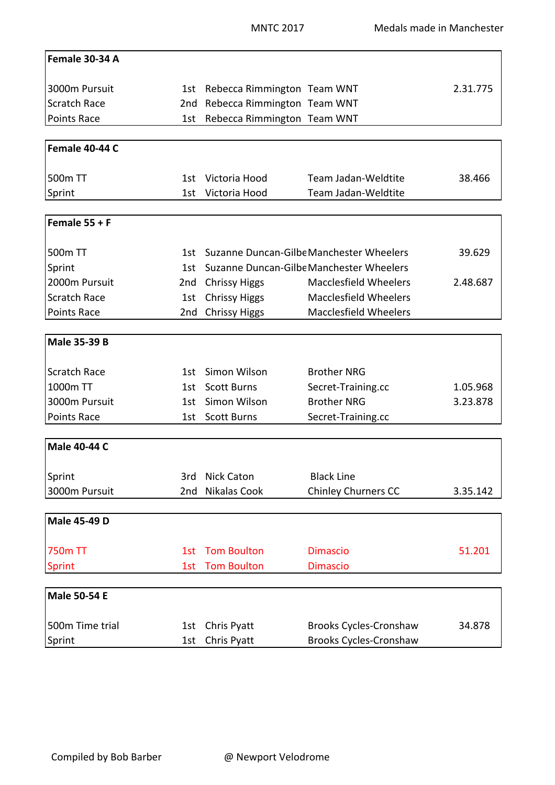| Female 30-34 A      |      |                                          |                               |          |
|---------------------|------|------------------------------------------|-------------------------------|----------|
| 3000m Pursuit       |      | 1st Rebecca Rimmington Team WNT          |                               | 2.31.775 |
| <b>Scratch Race</b> | 2nd  | Rebecca Rimmington Team WNT              |                               |          |
| Points Race         | 1st  | Rebecca Rimmington Team WNT              |                               |          |
|                     |      |                                          |                               |          |
| Female 40-44 C      |      |                                          |                               |          |
| 500m TT             | 1st  | Victoria Hood                            | Team Jadan-Weldtite           | 38.466   |
| Sprint              | 1st  | Victoria Hood                            | Team Jadan-Weldtite           |          |
|                     |      |                                          |                               |          |
| Female $55 + F$     |      |                                          |                               |          |
| 500 <sub>m</sub> TT | 1st. | Suzanne Duncan-Gilbe Manchester Wheelers |                               | 39.629   |
| Sprint              | 1st  | Suzanne Duncan-Gilbe Manchester Wheelers |                               |          |
| 2000m Pursuit       | 2nd  | <b>Chrissy Higgs</b>                     | <b>Macclesfield Wheelers</b>  | 2.48.687 |
| <b>Scratch Race</b> | 1st  | <b>Chrissy Higgs</b>                     | <b>Macclesfield Wheelers</b>  |          |
| Points Race         | 2nd  | <b>Chrissy Higgs</b>                     | <b>Macclesfield Wheelers</b>  |          |
|                     |      |                                          |                               |          |
| <b>Male 35-39 B</b> |      |                                          |                               |          |
| <b>Scratch Race</b> | 1st  | Simon Wilson                             | <b>Brother NRG</b>            |          |
| 1000m TT            | 1st  | <b>Scott Burns</b>                       | Secret-Training.cc            | 1.05.968 |
| 3000m Pursuit       | 1st  | Simon Wilson                             | <b>Brother NRG</b>            | 3.23.878 |
| Points Race         | 1st  | <b>Scott Burns</b>                       | Secret-Training.cc            |          |
|                     |      |                                          |                               |          |
| <b>Male 40-44 C</b> |      |                                          |                               |          |
| Sprint              | 3rd  | <b>Nick Caton</b>                        | <b>Black Line</b>             |          |
| 3000m Pursuit       | 2nd  | <b>Nikalas Cook</b>                      | <b>Chinley Churners CC</b>    | 3.35.142 |
| <b>Male 45-49 D</b> |      |                                          |                               |          |
|                     |      |                                          |                               |          |
| <b>750m TT</b>      | 1st  | <b>Tom Boulton</b>                       | <b>Dimascio</b>               | 51.201   |
| Sprint              | 1st  | <b>Tom Boulton</b>                       | <b>Dimascio</b>               |          |
|                     |      |                                          |                               |          |
| <b>Male 50-54 E</b> |      |                                          |                               |          |
| 500m Time trial     | 1st  | Chris Pyatt                              | <b>Brooks Cycles-Cronshaw</b> | 34.878   |
| Sprint              | 1st  | Chris Pyatt                              | <b>Brooks Cycles-Cronshaw</b> |          |